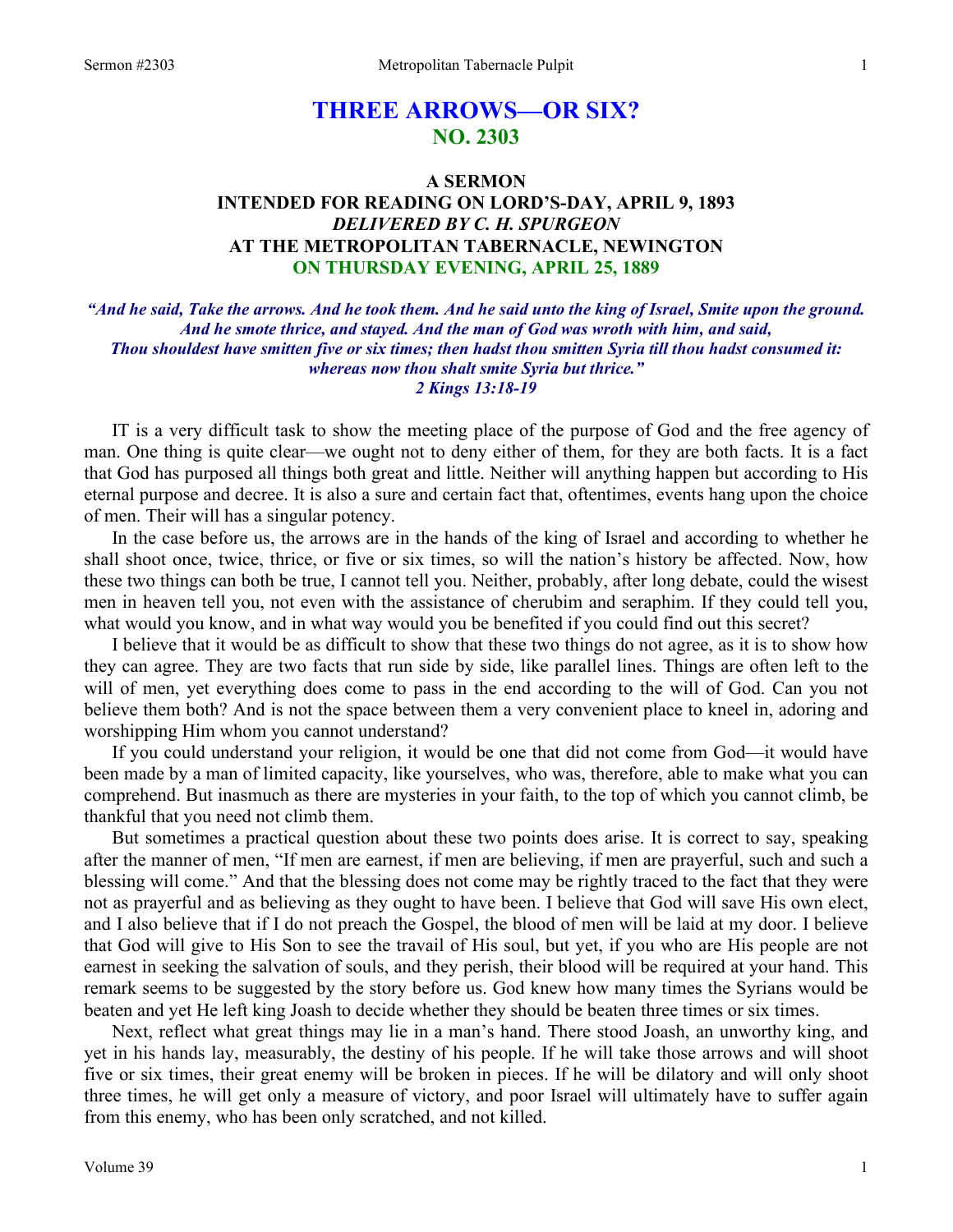# **THREE ARROWS—OR SIX? NO. 2303**

## **A SERMON INTENDED FOR READING ON LORD'S-DAY, APRIL 9, 1893**  *DELIVERED BY C. H. SPURGEON*  **AT THE METROPOLITAN TABERNACLE, NEWINGTON ON THURSDAY EVENING, APRIL 25, 1889**

*"And he said, Take the arrows. And he took them. And he said unto the king of Israel, Smite upon the ground. And he smote thrice, and stayed. And the man of God was wroth with him, and said, Thou shouldest have smitten five or six times; then hadst thou smitten Syria till thou hadst consumed it: whereas now thou shalt smite Syria but thrice." 2 Kings 13:18-19* 

IT is a very difficult task to show the meeting place of the purpose of God and the free agency of man. One thing is quite clear—we ought not to deny either of them, for they are both facts. It is a fact that God has purposed all things both great and little. Neither will anything happen but according to His eternal purpose and decree. It is also a sure and certain fact that, oftentimes, events hang upon the choice of men. Their will has a singular potency.

In the case before us, the arrows are in the hands of the king of Israel and according to whether he shall shoot once, twice, thrice, or five or six times, so will the nation's history be affected. Now, how these two things can both be true, I cannot tell you. Neither, probably, after long debate, could the wisest men in heaven tell you, not even with the assistance of cherubim and seraphim. If they could tell you, what would you know, and in what way would you be benefited if you could find out this secret?

I believe that it would be as difficult to show that these two things do not agree, as it is to show how they can agree. They are two facts that run side by side, like parallel lines. Things are often left to the will of men, yet everything does come to pass in the end according to the will of God. Can you not believe them both? And is not the space between them a very convenient place to kneel in, adoring and worshipping Him whom you cannot understand?

If you could understand your religion, it would be one that did not come from God—it would have been made by a man of limited capacity, like yourselves, who was, therefore, able to make what you can comprehend. But inasmuch as there are mysteries in your faith, to the top of which you cannot climb, be thankful that you need not climb them.

But sometimes a practical question about these two points does arise. It is correct to say, speaking after the manner of men, "If men are earnest, if men are believing, if men are prayerful, such and such a blessing will come." And that the blessing does not come may be rightly traced to the fact that they were not as prayerful and as believing as they ought to have been. I believe that God will save His own elect, and I also believe that if I do not preach the Gospel, the blood of men will be laid at my door. I believe that God will give to His Son to see the travail of His soul, but yet, if you who are His people are not earnest in seeking the salvation of souls, and they perish, their blood will be required at your hand. This remark seems to be suggested by the story before us. God knew how many times the Syrians would be beaten and yet He left king Joash to decide whether they should be beaten three times or six times.

Next, reflect what great things may lie in a man's hand. There stood Joash, an unworthy king, and yet in his hands lay, measurably, the destiny of his people. If he will take those arrows and will shoot five or six times, their great enemy will be broken in pieces. If he will be dilatory and will only shoot three times, he will get only a measure of victory, and poor Israel will ultimately have to suffer again from this enemy, who has been only scratched, and not killed.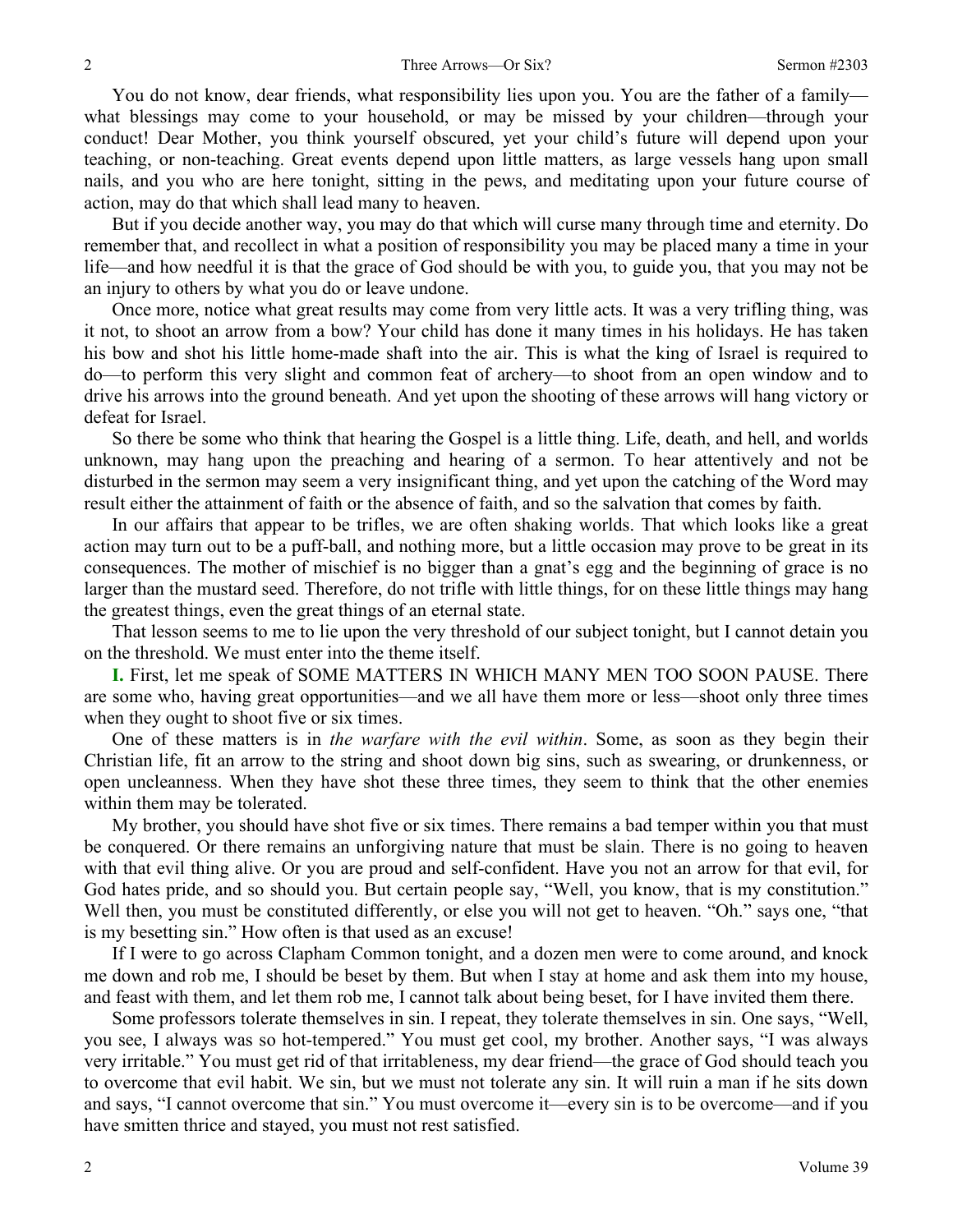You do not know, dear friends, what responsibility lies upon you. You are the father of a family what blessings may come to your household, or may be missed by your children—through your conduct! Dear Mother, you think yourself obscured, yet your child's future will depend upon your teaching, or non-teaching. Great events depend upon little matters, as large vessels hang upon small nails, and you who are here tonight, sitting in the pews, and meditating upon your future course of action, may do that which shall lead many to heaven.

But if you decide another way, you may do that which will curse many through time and eternity. Do remember that, and recollect in what a position of responsibility you may be placed many a time in your life—and how needful it is that the grace of God should be with you, to guide you, that you may not be an injury to others by what you do or leave undone.

Once more, notice what great results may come from very little acts. It was a very trifling thing, was it not, to shoot an arrow from a bow? Your child has done it many times in his holidays. He has taken his bow and shot his little home-made shaft into the air. This is what the king of Israel is required to do—to perform this very slight and common feat of archery—to shoot from an open window and to drive his arrows into the ground beneath. And yet upon the shooting of these arrows will hang victory or defeat for Israel.

So there be some who think that hearing the Gospel is a little thing. Life, death, and hell, and worlds unknown, may hang upon the preaching and hearing of a sermon. To hear attentively and not be disturbed in the sermon may seem a very insignificant thing, and yet upon the catching of the Word may result either the attainment of faith or the absence of faith, and so the salvation that comes by faith.

In our affairs that appear to be trifles, we are often shaking worlds. That which looks like a great action may turn out to be a puff-ball, and nothing more, but a little occasion may prove to be great in its consequences. The mother of mischief is no bigger than a gnat's egg and the beginning of grace is no larger than the mustard seed. Therefore, do not trifle with little things, for on these little things may hang the greatest things, even the great things of an eternal state.

That lesson seems to me to lie upon the very threshold of our subject tonight, but I cannot detain you on the threshold. We must enter into the theme itself.

**I.** First, let me speak of SOME MATTERS IN WHICH MANY MEN TOO SOON PAUSE. There are some who, having great opportunities—and we all have them more or less—shoot only three times when they ought to shoot five or six times.

One of these matters is in *the warfare with the evil within*. Some, as soon as they begin their Christian life, fit an arrow to the string and shoot down big sins, such as swearing, or drunkenness, or open uncleanness. When they have shot these three times, they seem to think that the other enemies within them may be tolerated.

My brother, you should have shot five or six times. There remains a bad temper within you that must be conquered. Or there remains an unforgiving nature that must be slain. There is no going to heaven with that evil thing alive. Or you are proud and self-confident. Have you not an arrow for that evil, for God hates pride, and so should you. But certain people say, "Well, you know, that is my constitution." Well then, you must be constituted differently, or else you will not get to heaven. "Oh." says one, "that is my besetting sin." How often is that used as an excuse!

If I were to go across Clapham Common tonight, and a dozen men were to come around, and knock me down and rob me, I should be beset by them. But when I stay at home and ask them into my house, and feast with them, and let them rob me, I cannot talk about being beset, for I have invited them there.

Some professors tolerate themselves in sin. I repeat, they tolerate themselves in sin. One says, "Well, you see, I always was so hot-tempered." You must get cool, my brother. Another says, "I was always very irritable." You must get rid of that irritableness, my dear friend—the grace of God should teach you to overcome that evil habit. We sin, but we must not tolerate any sin. It will ruin a man if he sits down and says, "I cannot overcome that sin." You must overcome it—every sin is to be overcome—and if you have smitten thrice and stayed, you must not rest satisfied.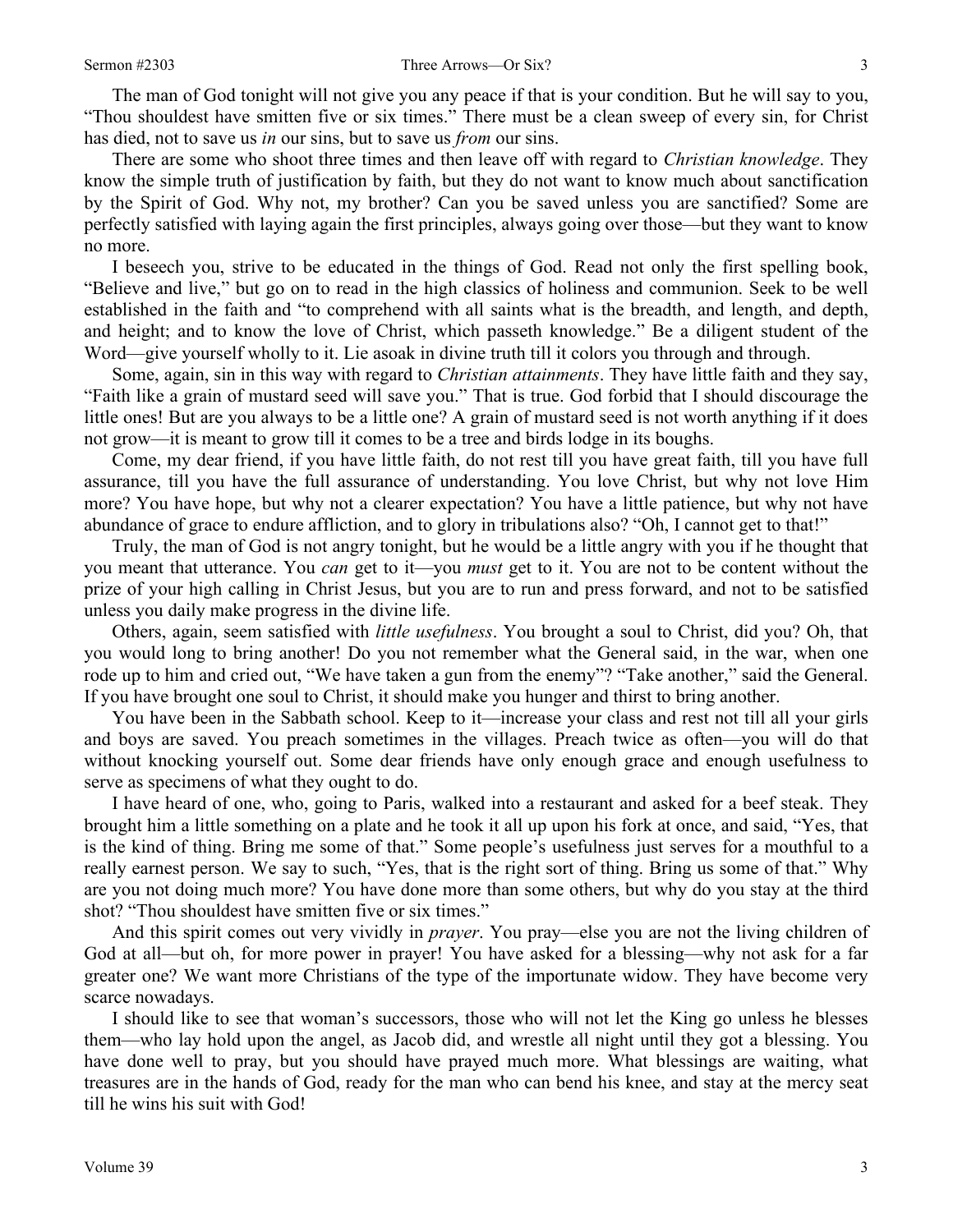The man of God tonight will not give you any peace if that is your condition. But he will say to you, "Thou shouldest have smitten five or six times." There must be a clean sweep of every sin, for Christ has died, not to save us *in* our sins, but to save us *from* our sins.

There are some who shoot three times and then leave off with regard to *Christian knowledge*. They know the simple truth of justification by faith, but they do not want to know much about sanctification by the Spirit of God. Why not, my brother? Can you be saved unless you are sanctified? Some are perfectly satisfied with laying again the first principles, always going over those—but they want to know no more.

I beseech you, strive to be educated in the things of God. Read not only the first spelling book, "Believe and live," but go on to read in the high classics of holiness and communion. Seek to be well established in the faith and "to comprehend with all saints what is the breadth, and length, and depth, and height; and to know the love of Christ, which passeth knowledge." Be a diligent student of the Word—give yourself wholly to it. Lie asoak in divine truth till it colors you through and through.

Some, again, sin in this way with regard to *Christian attainments*. They have little faith and they say, "Faith like a grain of mustard seed will save you." That is true. God forbid that I should discourage the little ones! But are you always to be a little one? A grain of mustard seed is not worth anything if it does not grow—it is meant to grow till it comes to be a tree and birds lodge in its boughs.

Come, my dear friend, if you have little faith, do not rest till you have great faith, till you have full assurance, till you have the full assurance of understanding. You love Christ, but why not love Him more? You have hope, but why not a clearer expectation? You have a little patience, but why not have abundance of grace to endure affliction, and to glory in tribulations also? "Oh, I cannot get to that!"

Truly, the man of God is not angry tonight, but he would be a little angry with you if he thought that you meant that utterance. You *can* get to it—you *must* get to it. You are not to be content without the prize of your high calling in Christ Jesus, but you are to run and press forward, and not to be satisfied unless you daily make progress in the divine life.

Others, again, seem satisfied with *little usefulness*. You brought a soul to Christ, did you? Oh, that you would long to bring another! Do you not remember what the General said, in the war, when one rode up to him and cried out, "We have taken a gun from the enemy"? "Take another," said the General. If you have brought one soul to Christ, it should make you hunger and thirst to bring another.

You have been in the Sabbath school. Keep to it—increase your class and rest not till all your girls and boys are saved. You preach sometimes in the villages. Preach twice as often—you will do that without knocking yourself out. Some dear friends have only enough grace and enough usefulness to serve as specimens of what they ought to do.

I have heard of one, who, going to Paris, walked into a restaurant and asked for a beef steak. They brought him a little something on a plate and he took it all up upon his fork at once, and said, "Yes, that is the kind of thing. Bring me some of that." Some people's usefulness just serves for a mouthful to a really earnest person. We say to such, "Yes, that is the right sort of thing. Bring us some of that." Why are you not doing much more? You have done more than some others, but why do you stay at the third shot? "Thou shouldest have smitten five or six times."

And this spirit comes out very vividly in *prayer*. You pray—else you are not the living children of God at all—but oh, for more power in prayer! You have asked for a blessing—why not ask for a far greater one? We want more Christians of the type of the importunate widow. They have become very scarce nowadays.

I should like to see that woman's successors, those who will not let the King go unless he blesses them—who lay hold upon the angel, as Jacob did, and wrestle all night until they got a blessing. You have done well to pray, but you should have prayed much more. What blessings are waiting, what treasures are in the hands of God, ready for the man who can bend his knee, and stay at the mercy seat till he wins his suit with God!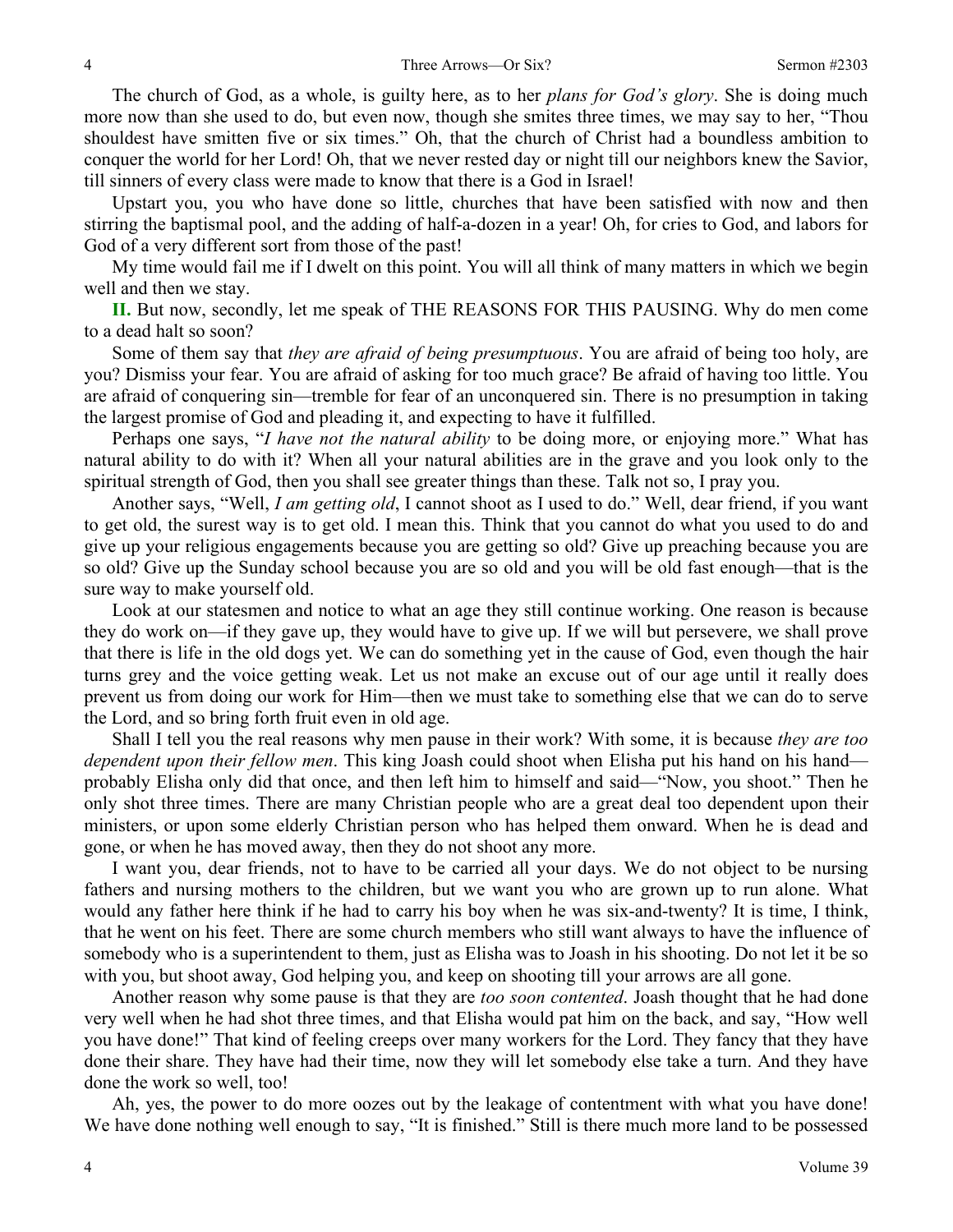The church of God, as a whole, is guilty here, as to her *plans for God's glory*. She is doing much more now than she used to do, but even now, though she smites three times, we may say to her, "Thou shouldest have smitten five or six times." Oh, that the church of Christ had a boundless ambition to conquer the world for her Lord! Oh, that we never rested day or night till our neighbors knew the Savior, till sinners of every class were made to know that there is a God in Israel!

Upstart you, you who have done so little, churches that have been satisfied with now and then stirring the baptismal pool, and the adding of half-a-dozen in a year! Oh, for cries to God, and labors for God of a very different sort from those of the past!

My time would fail me if I dwelt on this point. You will all think of many matters in which we begin well and then we stay.

**II.** But now, secondly, let me speak of THE REASONS FOR THIS PAUSING. Why do men come to a dead halt so soon?

Some of them say that *they are afraid of being presumptuous*. You are afraid of being too holy, are you? Dismiss your fear. You are afraid of asking for too much grace? Be afraid of having too little. You are afraid of conquering sin—tremble for fear of an unconquered sin. There is no presumption in taking the largest promise of God and pleading it, and expecting to have it fulfilled.

Perhaps one says, "*I have not the natural ability* to be doing more, or enjoying more." What has natural ability to do with it? When all your natural abilities are in the grave and you look only to the spiritual strength of God, then you shall see greater things than these. Talk not so, I pray you.

Another says, "Well, *I am getting old*, I cannot shoot as I used to do." Well, dear friend, if you want to get old, the surest way is to get old. I mean this. Think that you cannot do what you used to do and give up your religious engagements because you are getting so old? Give up preaching because you are so old? Give up the Sunday school because you are so old and you will be old fast enough—that is the sure way to make yourself old.

Look at our statesmen and notice to what an age they still continue working. One reason is because they do work on—if they gave up, they would have to give up. If we will but persevere, we shall prove that there is life in the old dogs yet. We can do something yet in the cause of God, even though the hair turns grey and the voice getting weak. Let us not make an excuse out of our age until it really does prevent us from doing our work for Him—then we must take to something else that we can do to serve the Lord, and so bring forth fruit even in old age.

Shall I tell you the real reasons why men pause in their work? With some, it is because *they are too dependent upon their fellow men*. This king Joash could shoot when Elisha put his hand on his hand probably Elisha only did that once, and then left him to himself and said—"Now, you shoot." Then he only shot three times. There are many Christian people who are a great deal too dependent upon their ministers, or upon some elderly Christian person who has helped them onward. When he is dead and gone, or when he has moved away, then they do not shoot any more.

I want you, dear friends, not to have to be carried all your days. We do not object to be nursing fathers and nursing mothers to the children, but we want you who are grown up to run alone. What would any father here think if he had to carry his boy when he was six-and-twenty? It is time, I think, that he went on his feet. There are some church members who still want always to have the influence of somebody who is a superintendent to them, just as Elisha was to Joash in his shooting. Do not let it be so with you, but shoot away, God helping you, and keep on shooting till your arrows are all gone.

Another reason why some pause is that they are *too soon contented*. Joash thought that he had done very well when he had shot three times, and that Elisha would pat him on the back, and say, "How well you have done!" That kind of feeling creeps over many workers for the Lord. They fancy that they have done their share. They have had their time, now they will let somebody else take a turn. And they have done the work so well, too!

Ah, yes, the power to do more oozes out by the leakage of contentment with what you have done! We have done nothing well enough to say, "It is finished." Still is there much more land to be possessed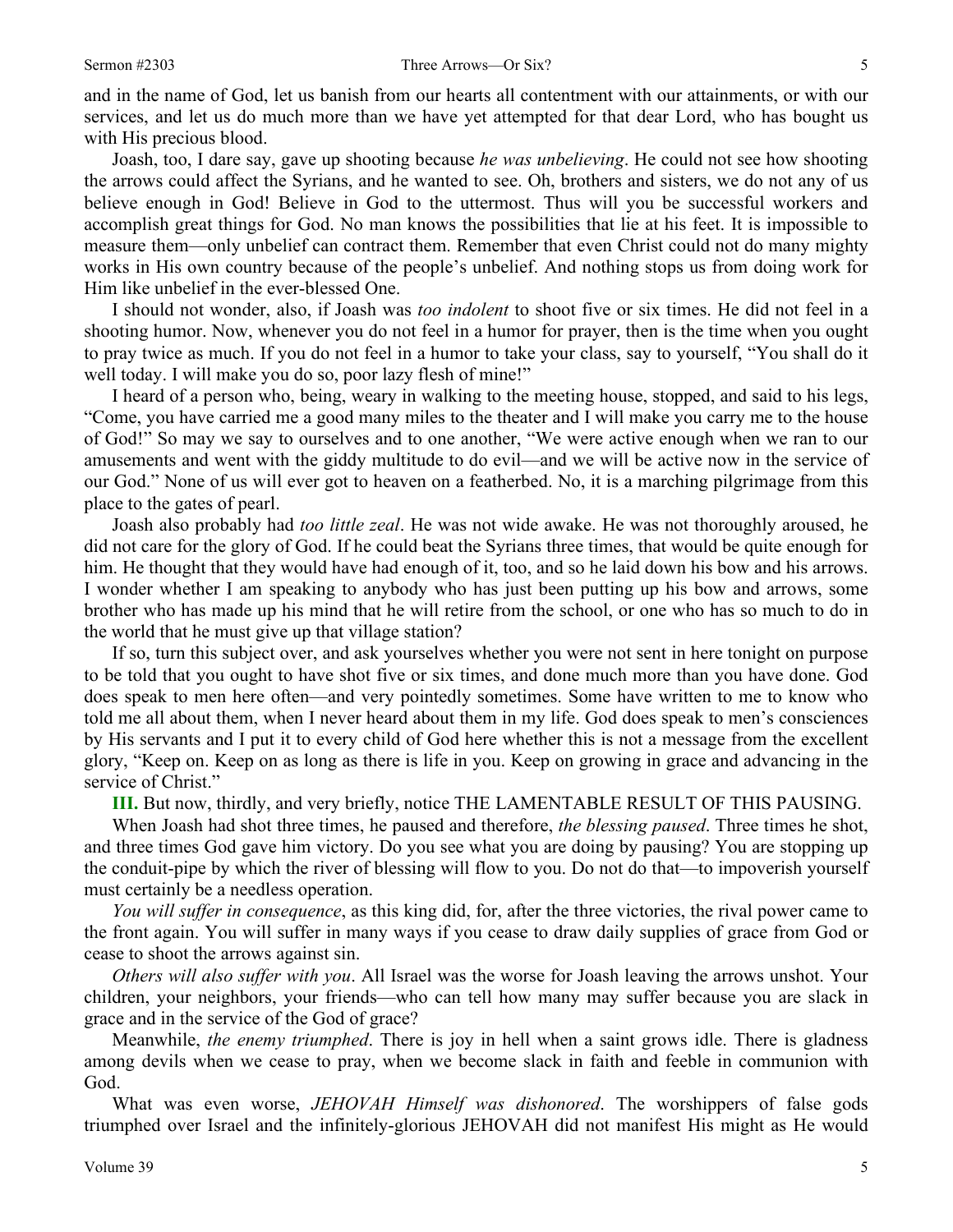and in the name of God, let us banish from our hearts all contentment with our attainments, or with our services, and let us do much more than we have yet attempted for that dear Lord, who has bought us with His precious blood.

Joash, too, I dare say, gave up shooting because *he was unbelieving*. He could not see how shooting the arrows could affect the Syrians, and he wanted to see. Oh, brothers and sisters, we do not any of us believe enough in God! Believe in God to the uttermost. Thus will you be successful workers and accomplish great things for God. No man knows the possibilities that lie at his feet. It is impossible to measure them—only unbelief can contract them. Remember that even Christ could not do many mighty works in His own country because of the people's unbelief. And nothing stops us from doing work for Him like unbelief in the ever-blessed One.

I should not wonder, also, if Joash was *too indolent* to shoot five or six times. He did not feel in a shooting humor. Now, whenever you do not feel in a humor for prayer, then is the time when you ought to pray twice as much. If you do not feel in a humor to take your class, say to yourself, "You shall do it well today. I will make you do so, poor lazy flesh of mine!"

I heard of a person who, being, weary in walking to the meeting house, stopped, and said to his legs, "Come, you have carried me a good many miles to the theater and I will make you carry me to the house of God!" So may we say to ourselves and to one another, "We were active enough when we ran to our amusements and went with the giddy multitude to do evil—and we will be active now in the service of our God." None of us will ever got to heaven on a featherbed. No, it is a marching pilgrimage from this place to the gates of pearl.

Joash also probably had *too little zeal*. He was not wide awake. He was not thoroughly aroused, he did not care for the glory of God. If he could beat the Syrians three times, that would be quite enough for him. He thought that they would have had enough of it, too, and so he laid down his bow and his arrows. I wonder whether I am speaking to anybody who has just been putting up his bow and arrows, some brother who has made up his mind that he will retire from the school, or one who has so much to do in the world that he must give up that village station?

If so, turn this subject over, and ask yourselves whether you were not sent in here tonight on purpose to be told that you ought to have shot five or six times, and done much more than you have done. God does speak to men here often—and very pointedly sometimes. Some have written to me to know who told me all about them, when I never heard about them in my life. God does speak to men's consciences by His servants and I put it to every child of God here whether this is not a message from the excellent glory, "Keep on. Keep on as long as there is life in you. Keep on growing in grace and advancing in the service of Christ."

**III.** But now, thirdly, and very briefly, notice THE LAMENTABLE RESULT OF THIS PAUSING.

When Joash had shot three times, he paused and therefore, *the blessing paused*. Three times he shot, and three times God gave him victory. Do you see what you are doing by pausing? You are stopping up the conduit-pipe by which the river of blessing will flow to you. Do not do that—to impoverish yourself must certainly be a needless operation.

*You will suffer in consequence*, as this king did, for, after the three victories, the rival power came to the front again. You will suffer in many ways if you cease to draw daily supplies of grace from God or cease to shoot the arrows against sin.

*Others will also suffer with you*. All Israel was the worse for Joash leaving the arrows unshot. Your children, your neighbors, your friends—who can tell how many may suffer because you are slack in grace and in the service of the God of grace?

Meanwhile, *the enemy triumphed*. There is joy in hell when a saint grows idle. There is gladness among devils when we cease to pray, when we become slack in faith and feeble in communion with God.

What was even worse, *JEHOVAH Himself was dishonored*. The worshippers of false gods triumphed over Israel and the infinitely-glorious JEHOVAH did not manifest His might as He would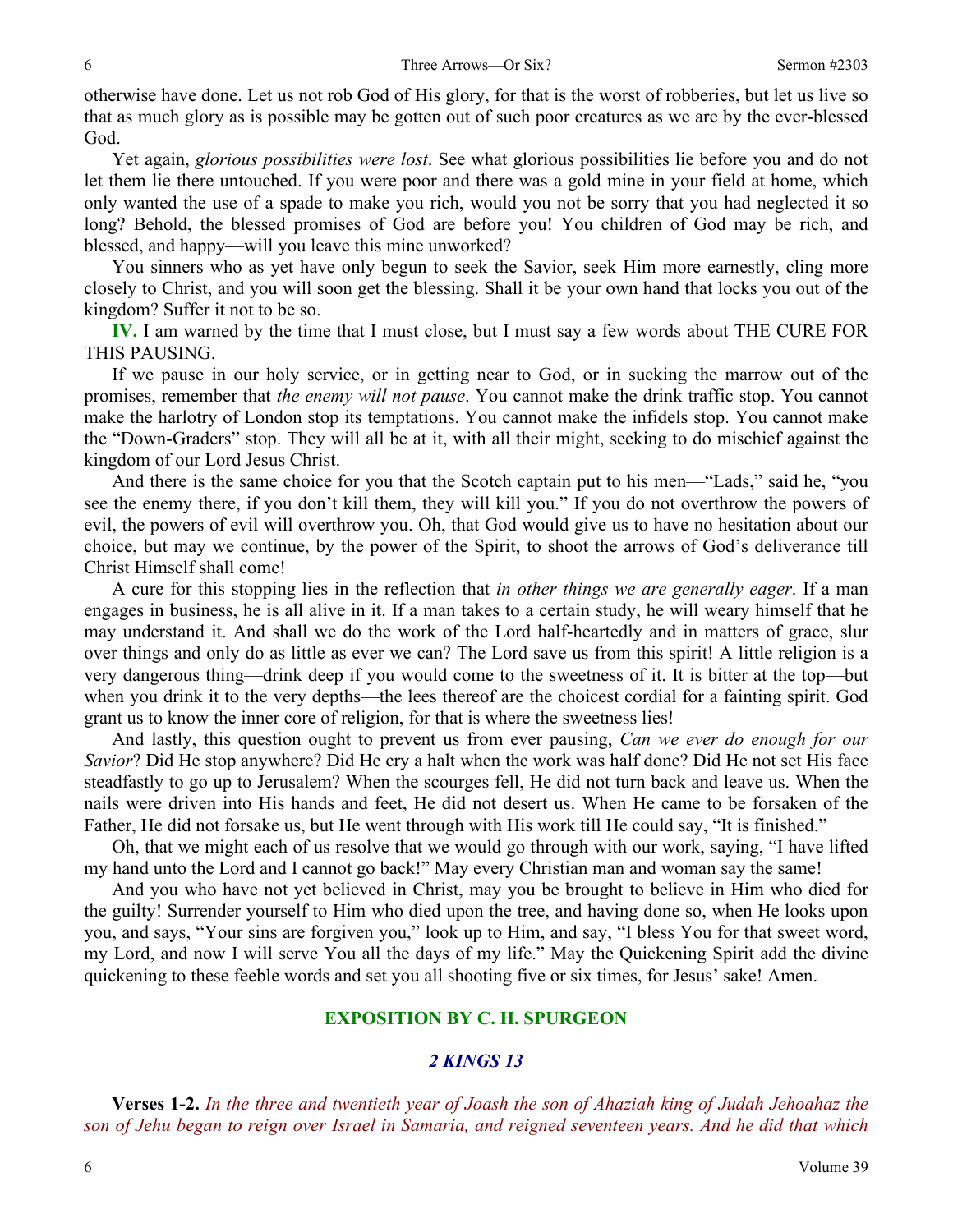otherwise have done. Let us not rob God of His glory, for that is the worst of robberies, but let us live so that as much glory as is possible may be gotten out of such poor creatures as we are by the ever-blessed God.

Yet again, *glorious possibilities were lost*. See what glorious possibilities lie before you and do not let them lie there untouched. If you were poor and there was a gold mine in your field at home, which only wanted the use of a spade to make you rich, would you not be sorry that you had neglected it so long? Behold, the blessed promises of God are before you! You children of God may be rich, and blessed, and happy—will you leave this mine unworked?

You sinners who as yet have only begun to seek the Savior, seek Him more earnestly, cling more closely to Christ, and you will soon get the blessing. Shall it be your own hand that locks you out of the kingdom? Suffer it not to be so.

**IV.** I am warned by the time that I must close, but I must say a few words about THE CURE FOR THIS PAUSING.

If we pause in our holy service, or in getting near to God, or in sucking the marrow out of the promises, remember that *the enemy will not pause*. You cannot make the drink traffic stop. You cannot make the harlotry of London stop its temptations. You cannot make the infidels stop. You cannot make the "Down-Graders" stop. They will all be at it, with all their might, seeking to do mischief against the kingdom of our Lord Jesus Christ.

And there is the same choice for you that the Scotch captain put to his men—"Lads," said he, "you see the enemy there, if you don't kill them, they will kill you." If you do not overthrow the powers of evil, the powers of evil will overthrow you. Oh, that God would give us to have no hesitation about our choice, but may we continue, by the power of the Spirit, to shoot the arrows of God's deliverance till Christ Himself shall come!

A cure for this stopping lies in the reflection that *in other things we are generally eager*. If a man engages in business, he is all alive in it. If a man takes to a certain study, he will weary himself that he may understand it. And shall we do the work of the Lord half-heartedly and in matters of grace, slur over things and only do as little as ever we can? The Lord save us from this spirit! A little religion is a very dangerous thing—drink deep if you would come to the sweetness of it. It is bitter at the top—but when you drink it to the very depths—the lees thereof are the choicest cordial for a fainting spirit. God grant us to know the inner core of religion, for that is where the sweetness lies!

And lastly, this question ought to prevent us from ever pausing, *Can we ever do enough for our Savior*? Did He stop anywhere? Did He cry a halt when the work was half done? Did He not set His face steadfastly to go up to Jerusalem? When the scourges fell, He did not turn back and leave us. When the nails were driven into His hands and feet, He did not desert us. When He came to be forsaken of the Father, He did not forsake us, but He went through with His work till He could say, "It is finished."

Oh, that we might each of us resolve that we would go through with our work, saying, "I have lifted my hand unto the Lord and I cannot go back!" May every Christian man and woman say the same!

And you who have not yet believed in Christ, may you be brought to believe in Him who died for the guilty! Surrender yourself to Him who died upon the tree, and having done so, when He looks upon you, and says, "Your sins are forgiven you," look up to Him, and say, "I bless You for that sweet word, my Lord, and now I will serve You all the days of my life." May the Quickening Spirit add the divine quickening to these feeble words and set you all shooting five or six times, for Jesus' sake! Amen.

## **EXPOSITION BY C. H. SPURGEON**

#### *2 KINGS 13*

**Verses 1-2.** *In the three and twentieth year of Joash the son of Ahaziah king of Judah Jehoahaz the son of Jehu began to reign over Israel in Samaria, and reigned seventeen years. And he did that which*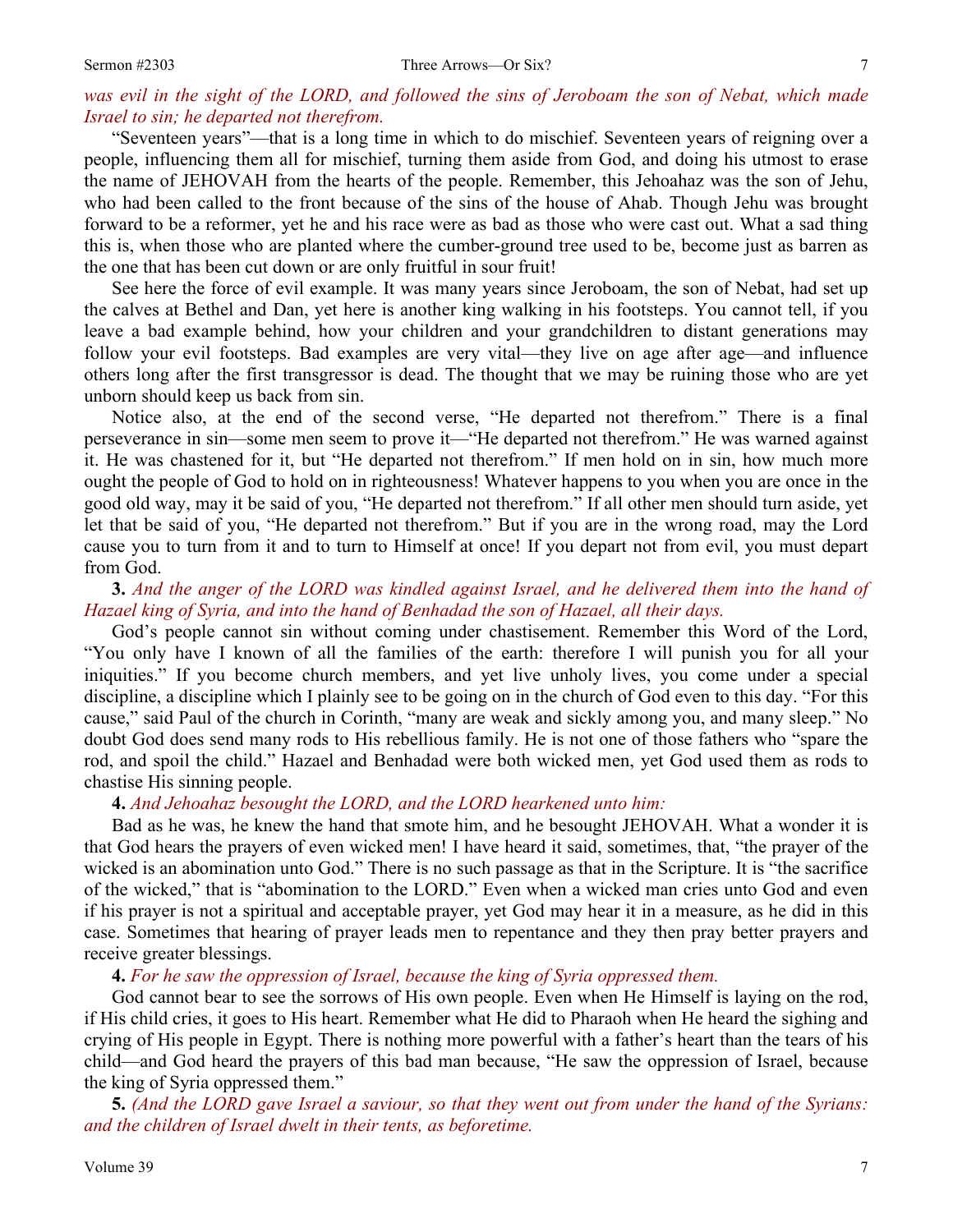#### *was evil in the sight of the LORD, and followed the sins of Jeroboam the son of Nebat, which made Israel to sin; he departed not therefrom.*

"Seventeen years"—that is a long time in which to do mischief. Seventeen years of reigning over a people, influencing them all for mischief, turning them aside from God, and doing his utmost to erase the name of JEHOVAH from the hearts of the people. Remember, this Jehoahaz was the son of Jehu, who had been called to the front because of the sins of the house of Ahab. Though Jehu was brought forward to be a reformer, yet he and his race were as bad as those who were cast out. What a sad thing this is, when those who are planted where the cumber-ground tree used to be, become just as barren as the one that has been cut down or are only fruitful in sour fruit!

See here the force of evil example. It was many years since Jeroboam, the son of Nebat, had set up the calves at Bethel and Dan, yet here is another king walking in his footsteps. You cannot tell, if you leave a bad example behind, how your children and your grandchildren to distant generations may follow your evil footsteps. Bad examples are very vital—they live on age after age—and influence others long after the first transgressor is dead. The thought that we may be ruining those who are yet unborn should keep us back from sin.

Notice also, at the end of the second verse, "He departed not therefrom." There is a final perseverance in sin—some men seem to prove it—"He departed not therefrom." He was warned against it. He was chastened for it, but "He departed not therefrom." If men hold on in sin, how much more ought the people of God to hold on in righteousness! Whatever happens to you when you are once in the good old way, may it be said of you, "He departed not therefrom." If all other men should turn aside, yet let that be said of you, "He departed not therefrom." But if you are in the wrong road, may the Lord cause you to turn from it and to turn to Himself at once! If you depart not from evil, you must depart from God.

## **3.** *And the anger of the LORD was kindled against Israel, and he delivered them into the hand of Hazael king of Syria, and into the hand of Benhadad the son of Hazael, all their days.*

God's people cannot sin without coming under chastisement. Remember this Word of the Lord, "You only have I known of all the families of the earth: therefore I will punish you for all your iniquities." If you become church members, and yet live unholy lives, you come under a special discipline, a discipline which I plainly see to be going on in the church of God even to this day. "For this cause," said Paul of the church in Corinth, "many are weak and sickly among you, and many sleep." No doubt God does send many rods to His rebellious family. He is not one of those fathers who "spare the rod, and spoil the child." Hazael and Benhadad were both wicked men, yet God used them as rods to chastise His sinning people.

**4.** *And Jehoahaz besought the LORD, and the LORD hearkened unto him:* 

Bad as he was, he knew the hand that smote him, and he besought JEHOVAH. What a wonder it is that God hears the prayers of even wicked men! I have heard it said, sometimes, that, "the prayer of the wicked is an abomination unto God." There is no such passage as that in the Scripture. It is "the sacrifice of the wicked," that is "abomination to the LORD." Even when a wicked man cries unto God and even if his prayer is not a spiritual and acceptable prayer, yet God may hear it in a measure, as he did in this case. Sometimes that hearing of prayer leads men to repentance and they then pray better prayers and receive greater blessings.

**4.** *For he saw the oppression of Israel, because the king of Syria oppressed them.* 

God cannot bear to see the sorrows of His own people. Even when He Himself is laying on the rod, if His child cries, it goes to His heart. Remember what He did to Pharaoh when He heard the sighing and crying of His people in Egypt. There is nothing more powerful with a father's heart than the tears of his child—and God heard the prayers of this bad man because, "He saw the oppression of Israel, because the king of Syria oppressed them."

**5.** *(And the LORD gave Israel a saviour, so that they went out from under the hand of the Syrians: and the children of Israel dwelt in their tents, as beforetime.*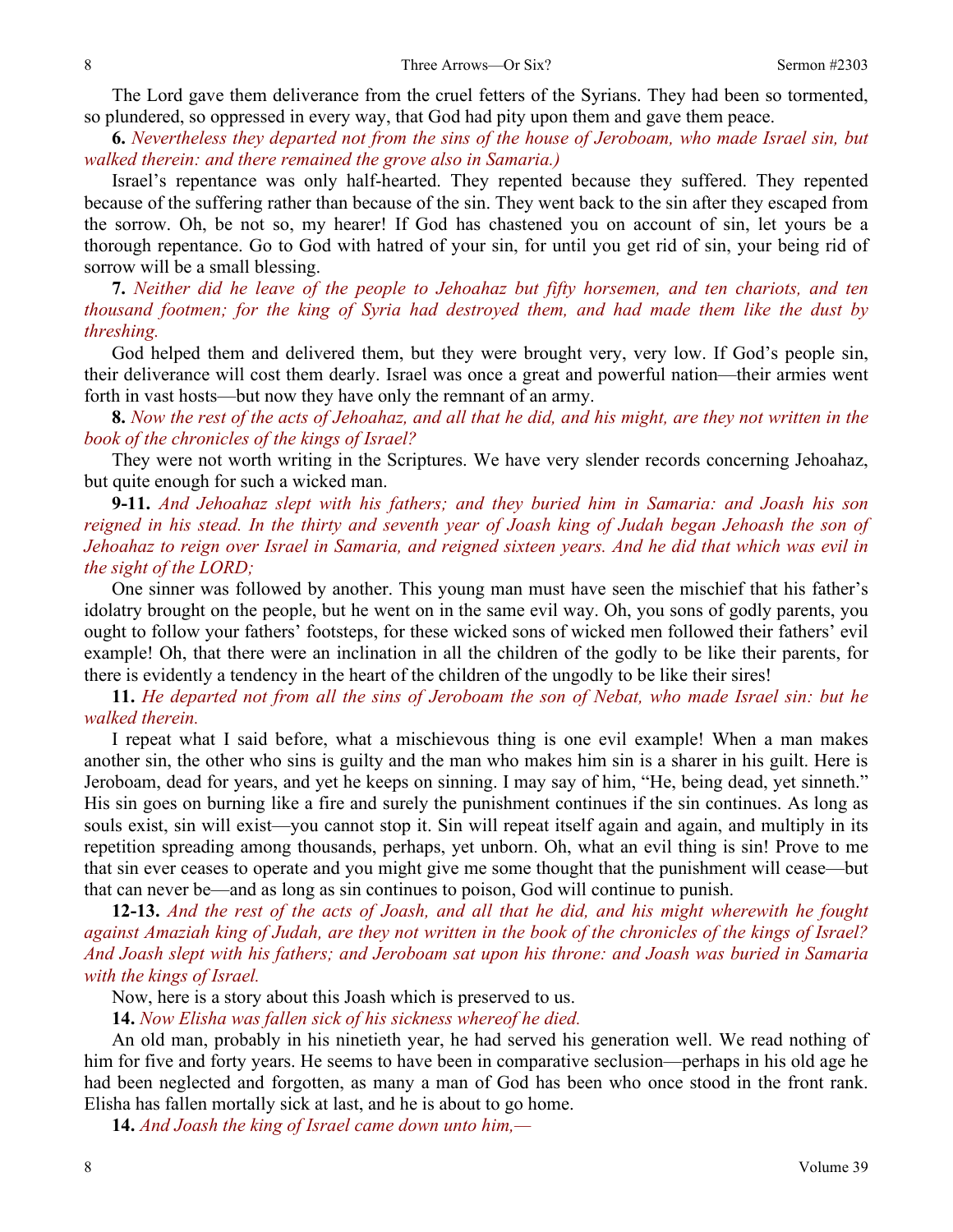The Lord gave them deliverance from the cruel fetters of the Syrians. They had been so tormented, so plundered, so oppressed in every way, that God had pity upon them and gave them peace.

**6.** *Nevertheless they departed not from the sins of the house of Jeroboam, who made Israel sin, but walked therein: and there remained the grove also in Samaria.)* 

Israel's repentance was only half-hearted. They repented because they suffered. They repented because of the suffering rather than because of the sin. They went back to the sin after they escaped from the sorrow. Oh, be not so, my hearer! If God has chastened you on account of sin, let yours be a thorough repentance. Go to God with hatred of your sin, for until you get rid of sin, your being rid of sorrow will be a small blessing.

**7.** *Neither did he leave of the people to Jehoahaz but fifty horsemen, and ten chariots, and ten thousand footmen; for the king of Syria had destroyed them, and had made them like the dust by threshing.* 

God helped them and delivered them, but they were brought very, very low. If God's people sin, their deliverance will cost them dearly. Israel was once a great and powerful nation—their armies went forth in vast hosts—but now they have only the remnant of an army.

**8.** *Now the rest of the acts of Jehoahaz, and all that he did, and his might, are they not written in the book of the chronicles of the kings of Israel?* 

They were not worth writing in the Scriptures. We have very slender records concerning Jehoahaz, but quite enough for such a wicked man.

**9-11.** *And Jehoahaz slept with his fathers; and they buried him in Samaria: and Joash his son reigned in his stead. In the thirty and seventh year of Joash king of Judah began Jehoash the son of Jehoahaz to reign over Israel in Samaria, and reigned sixteen years. And he did that which was evil in the sight of the LORD;* 

One sinner was followed by another. This young man must have seen the mischief that his father's idolatry brought on the people, but he went on in the same evil way. Oh, you sons of godly parents, you ought to follow your fathers' footsteps, for these wicked sons of wicked men followed their fathers' evil example! Oh, that there were an inclination in all the children of the godly to be like their parents, for there is evidently a tendency in the heart of the children of the ungodly to be like their sires!

**11.** *He departed not from all the sins of Jeroboam the son of Nebat, who made Israel sin: but he walked therein.* 

I repeat what I said before, what a mischievous thing is one evil example! When a man makes another sin, the other who sins is guilty and the man who makes him sin is a sharer in his guilt. Here is Jeroboam, dead for years, and yet he keeps on sinning. I may say of him, "He, being dead, yet sinneth." His sin goes on burning like a fire and surely the punishment continues if the sin continues. As long as souls exist, sin will exist—you cannot stop it. Sin will repeat itself again and again, and multiply in its repetition spreading among thousands, perhaps, yet unborn. Oh, what an evil thing is sin! Prove to me that sin ever ceases to operate and you might give me some thought that the punishment will cease—but that can never be—and as long as sin continues to poison, God will continue to punish.

**12-13.** *And the rest of the acts of Joash, and all that he did, and his might wherewith he fought against Amaziah king of Judah, are they not written in the book of the chronicles of the kings of Israel? And Joash slept with his fathers; and Jeroboam sat upon his throne: and Joash was buried in Samaria with the kings of Israel.* 

Now, here is a story about this Joash which is preserved to us.

**14.** *Now Elisha was fallen sick of his sickness whereof he died.* 

An old man, probably in his ninetieth year, he had served his generation well. We read nothing of him for five and forty years. He seems to have been in comparative seclusion—perhaps in his old age he had been neglected and forgotten, as many a man of God has been who once stood in the front rank. Elisha has fallen mortally sick at last, and he is about to go home.

**14.** *And Joash the king of Israel came down unto him,—*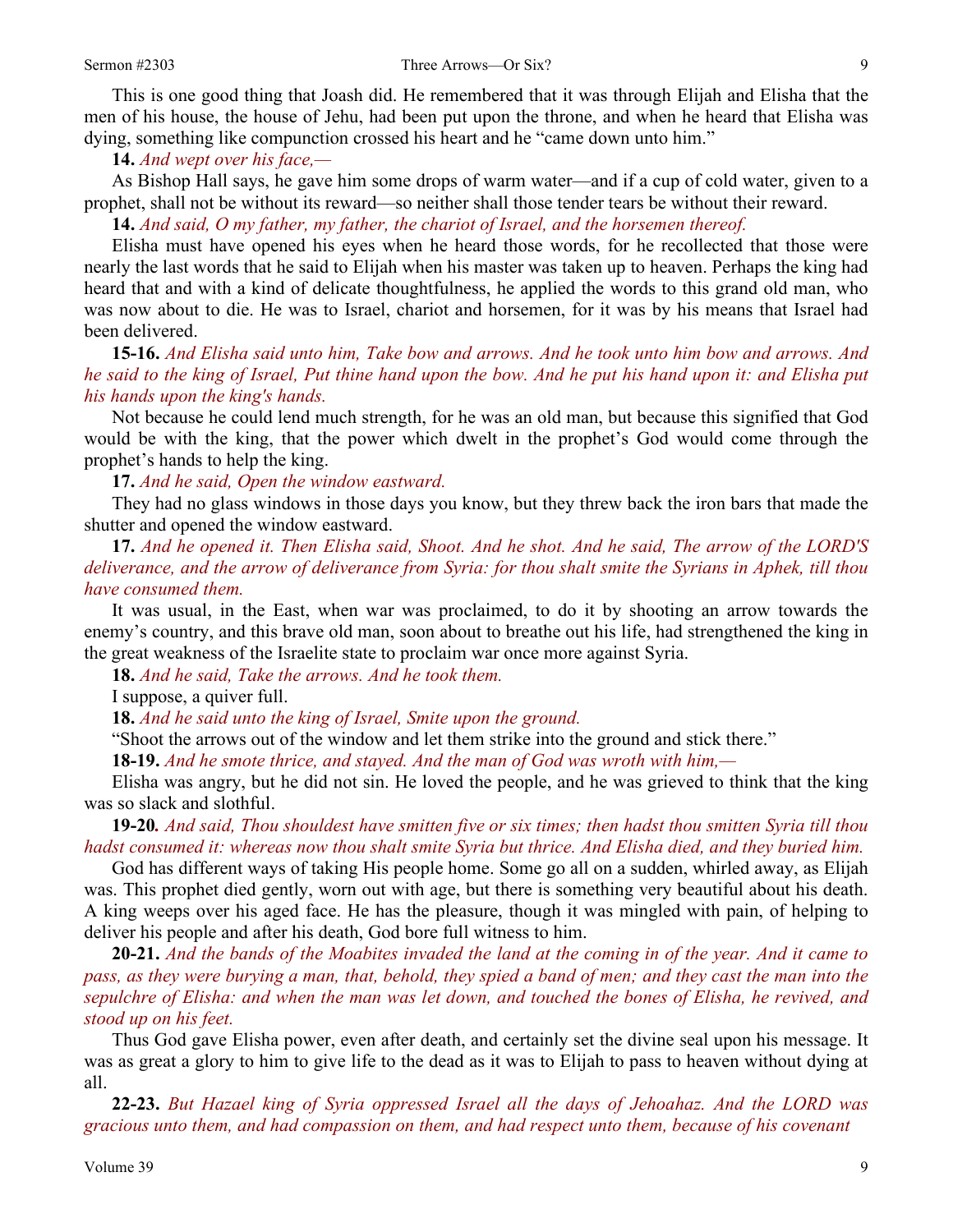This is one good thing that Joash did. He remembered that it was through Elijah and Elisha that the men of his house, the house of Jehu, had been put upon the throne, and when he heard that Elisha was dying, something like compunction crossed his heart and he "came down unto him."

**14.** *And wept over his face,—* 

As Bishop Hall says, he gave him some drops of warm water—and if a cup of cold water, given to a prophet, shall not be without its reward—so neither shall those tender tears be without their reward.

**14.** *And said, O my father, my father, the chariot of Israel, and the horsemen thereof.* 

Elisha must have opened his eyes when he heard those words, for he recollected that those were nearly the last words that he said to Elijah when his master was taken up to heaven. Perhaps the king had heard that and with a kind of delicate thoughtfulness, he applied the words to this grand old man, who was now about to die. He was to Israel, chariot and horsemen, for it was by his means that Israel had been delivered.

**15-16.** *And Elisha said unto him, Take bow and arrows. And he took unto him bow and arrows. And he said to the king of Israel, Put thine hand upon the bow. And he put his hand upon it: and Elisha put his hands upon the king's hands.* 

Not because he could lend much strength, for he was an old man, but because this signified that God would be with the king, that the power which dwelt in the prophet's God would come through the prophet's hands to help the king.

**17.** *And he said, Open the window eastward.* 

They had no glass windows in those days you know, but they threw back the iron bars that made the shutter and opened the window eastward.

**17.** *And he opened it. Then Elisha said, Shoot. And he shot. And he said, The arrow of the LORD'S deliverance, and the arrow of deliverance from Syria: for thou shalt smite the Syrians in Aphek, till thou have consumed them.* 

It was usual, in the East, when war was proclaimed, to do it by shooting an arrow towards the enemy's country, and this brave old man, soon about to breathe out his life, had strengthened the king in the great weakness of the Israelite state to proclaim war once more against Syria.

**18.** *And he said, Take the arrows. And he took them.* 

I suppose, a quiver full.

**18.** *And he said unto the king of Israel, Smite upon the ground.* 

"Shoot the arrows out of the window and let them strike into the ground and stick there."

**18-19.** *And he smote thrice, and stayed. And the man of God was wroth with him,—* 

Elisha was angry, but he did not sin. He loved the people, and he was grieved to think that the king was so slack and slothful.

**19-20***. And said, Thou shouldest have smitten five or six times; then hadst thou smitten Syria till thou hadst consumed it: whereas now thou shalt smite Syria but thrice. And Elisha died, and they buried him.* 

God has different ways of taking His people home. Some go all on a sudden, whirled away, as Elijah was. This prophet died gently, worn out with age, but there is something very beautiful about his death. A king weeps over his aged face. He has the pleasure, though it was mingled with pain, of helping to deliver his people and after his death, God bore full witness to him.

**20-21.** *And the bands of the Moabites invaded the land at the coming in of the year. And it came to pass, as they were burying a man, that, behold, they spied a band of men; and they cast the man into the sepulchre of Elisha: and when the man was let down, and touched the bones of Elisha, he revived, and stood up on his feet.* 

Thus God gave Elisha power, even after death, and certainly set the divine seal upon his message. It was as great a glory to him to give life to the dead as it was to Elijah to pass to heaven without dying at all.

**22-23.** *But Hazael king of Syria oppressed Israel all the days of Jehoahaz. And the LORD was gracious unto them, and had compassion on them, and had respect unto them, because of his covenant*